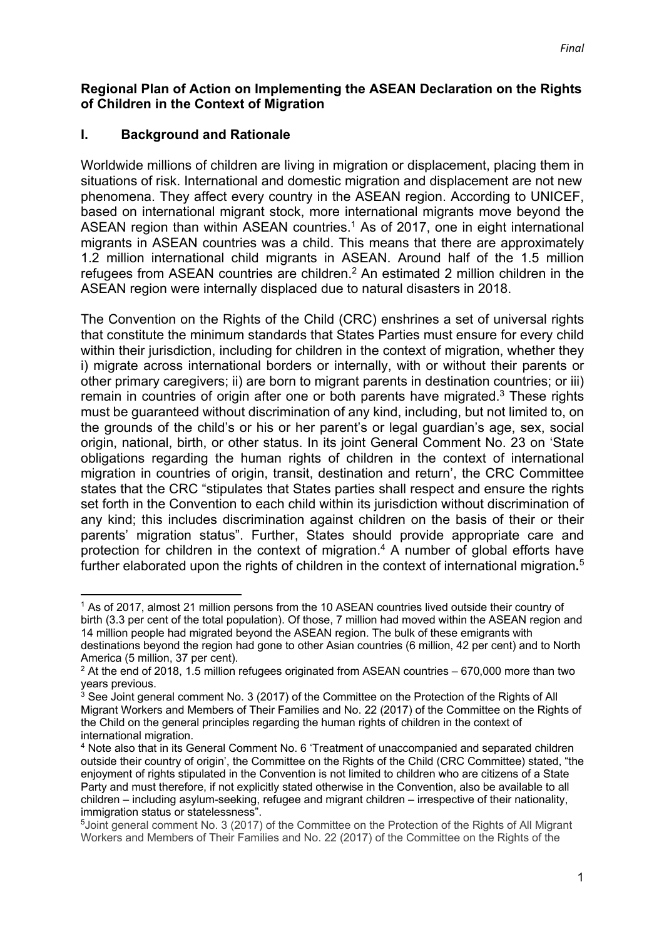## **Regional Plan of Action on Implementing the ASEAN Declaration on the Rights of Children in the Context of Migration**

## **I. Background and Rationale**

Worldwide millions of children are living in migration or displacement, placing them in situations of risk. International and domestic migration and displacement are not new phenomena. They affect every country in the ASEAN region. According to UNICEF, based on international migrant stock, more international migrants move beyond the ASEAN region than within ASEAN countries.<sup>1</sup> As of 2017, one in eight international migrants in ASEAN countries was a child. This means that there are approximately 1.2 million international child migrants in ASEAN. Around half of the 1.5 million refugees from ASEAN countries are children.<sup>2</sup> An estimated 2 million children in the ASEAN region were internally displaced due to natural disasters in 2018.

The Convention on the Rights of the Child (CRC) enshrines a set of universal rights that constitute the minimum standards that States Parties must ensure for every child within their jurisdiction, including for children in the context of migration, whether they i) migrate across international borders or internally, with or without their parents or other primary caregivers; ii) are born to migrant parents in destination countries; or iii) remain in countries of origin after one or both parents have migrated.<sup>3</sup> These rights must be guaranteed without discrimination of any kind, including, but not limited to, on the grounds of the child's or his or her parent's or legal guardian's age, sex, social origin, national, birth, or other status. In its joint General Comment No. 23 on 'State obligations regarding the human rights of children in the context of international migration in countries of origin, transit, destination and return', the CRC Committee states that the CRC "stipulates that States parties shall respect and ensure the rights set forth in the Convention to each child within its jurisdiction without discrimination of any kind; this includes discrimination against children on the basis of their or their parents' migration status". Further, States should provide appropriate care and protection for children in the context of migration.<sup>4</sup> A number of global efforts have further elaborated upon the rights of children in the context of international migration**.** 5

<sup>1</sup> As of 2017, almost 21 million persons from the 10 ASEAN countries lived outside their country of birth (3.3 per cent of the total population). Of those, 7 million had moved within the ASEAN region and 14 million people had migrated beyond the ASEAN region. The bulk of these emigrants with destinations beyond the region had gone to other Asian countries (6 million, 42 per cent) and to North America (5 million, 37 per cent).

 $2$  At the end of 2018, 1.5 million refugees originated from ASEAN countries – 670,000 more than two years previous.

<sup>&</sup>lt;sup>3</sup> See Joint general comment No. 3 (2017) of the Committee on the Protection of the Rights of All Migrant Workers and Members of Their Families and No. 22 (2017) of the Committee on the Rights of the Child on the general principles regarding the human rights of children in the context of international migration.

<sup>4</sup> Note also that in its General Comment No. 6 'Treatment of unaccompanied and separated children outside their country of origin', the Committee on the Rights of the Child (CRC Committee) stated, "the enjoyment of rights stipulated in the Convention is not limited to children who are citizens of a State Party and must therefore, if not explicitly stated otherwise in the Convention, also be available to all children – including asylum-seeking, refugee and migrant children – irrespective of their nationality, immigration status or statelessness".

<sup>&</sup>lt;sup>5</sup> Joint general comment No. 3 (2017) of the Committee on the Protection of the Rights of All Migrant Workers and Members of Their Families and No. 22 (2017) of the Committee on the Rights of the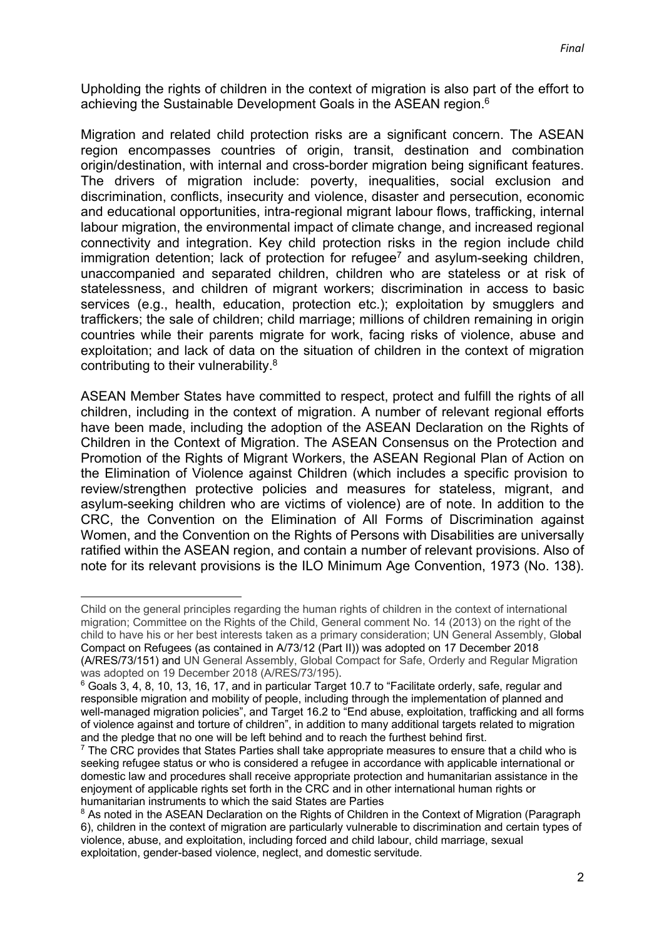Upholding the rights of children in the context of migration is also part of the effort to achieving the Sustainable Development Goals in the ASEAN region.<sup>6</sup>

Migration and related child protection risks are a significant concern. The ASEAN region encompasses countries of origin, transit, destination and combination origin/destination, with internal and cross-border migration being significant features. The drivers of migration include: poverty, inequalities, social exclusion and discrimination, conflicts, insecurity and violence, disaster and persecution, economic and educational opportunities, intra-regional migrant labour flows, trafficking, internal labour migration, the environmental impact of climate change, and increased regional connectivity and integration. Key child protection risks in the region include child immigration detention; lack of protection for refugee<sup>7</sup> and asylum-seeking children, unaccompanied and separated children, children who are stateless or at risk of statelessness, and children of migrant workers; discrimination in access to basic services (e.g., health, education, protection etc.); exploitation by smugglers and traffickers; the sale of children; child marriage; millions of children remaining in origin countries while their parents migrate for work, facing risks of violence, abuse and exploitation; and lack of data on the situation of children in the context of migration contributing to their vulnerability.8

ASEAN Member States have committed to respect, protect and fulfill the rights of all children, including in the context of migration. A number of relevant regional efforts have been made, including the adoption of the ASEAN Declaration on the Rights of Children in the Context of Migration. The ASEAN Consensus on the Protection and Promotion of the Rights of Migrant Workers, the ASEAN Regional Plan of Action on the Elimination of Violence against Children (which includes a specific provision to review/strengthen protective policies and measures for stateless, migrant, and asylum-seeking children who are victims of violence) are of note. In addition to the CRC, the Convention on the Elimination of All Forms of Discrimination against Women, and the Convention on the Rights of Persons with Disabilities are universally ratified within the ASEAN region, and contain a number of relevant provisions. Also of note for its relevant provisions is the ILO Minimum Age Convention, 1973 (No. 138).

Child on the general principles regarding the human rights of children in the context of international migration; Committee on the Rights of the Child, General comment No. 14 (2013) on the right of the child to have his or her best interests taken as a primary consideration; UN General Assembly, Global Compact on Refugees (as contained in A/73/12 (Part II)) was adopted on 17 December 2018 (A/RES/73/151) and UN General Assembly, Global Compact for Safe, Orderly and Regular Migration was adopted on 19 December 2018 (A/RES/73/195).

<sup>6</sup> Goals 3, 4, 8, 10, 13, 16, 17, and in particular Target 10.7 to "Facilitate orderly, safe, regular and responsible migration and mobility of people, including through the implementation of planned and well-managed migration policies", and Target 16.2 to "End abuse, exploitation, trafficking and all forms of violence against and torture of children", in addition to many additional targets related to migration and the pledge that no one will be left behind and to reach the furthest behind first.

 $7$  The CRC provides that States Parties shall take appropriate measures to ensure that a child who is seeking refugee status or who is considered a refugee in accordance with applicable international or domestic law and procedures shall receive appropriate protection and humanitarian assistance in the enjoyment of applicable rights set forth in the CRC and in other international human rights or humanitarian instruments to which the said States are Parties

<sup>&</sup>lt;sup>8</sup> As noted in the ASEAN Declaration on the Rights of Children in the Context of Migration (Paragraph 6), children in the context of migration are particularly vulnerable to discrimination and certain types of violence, abuse, and exploitation, including forced and child labour, child marriage, sexual exploitation, gender-based violence, neglect, and domestic servitude.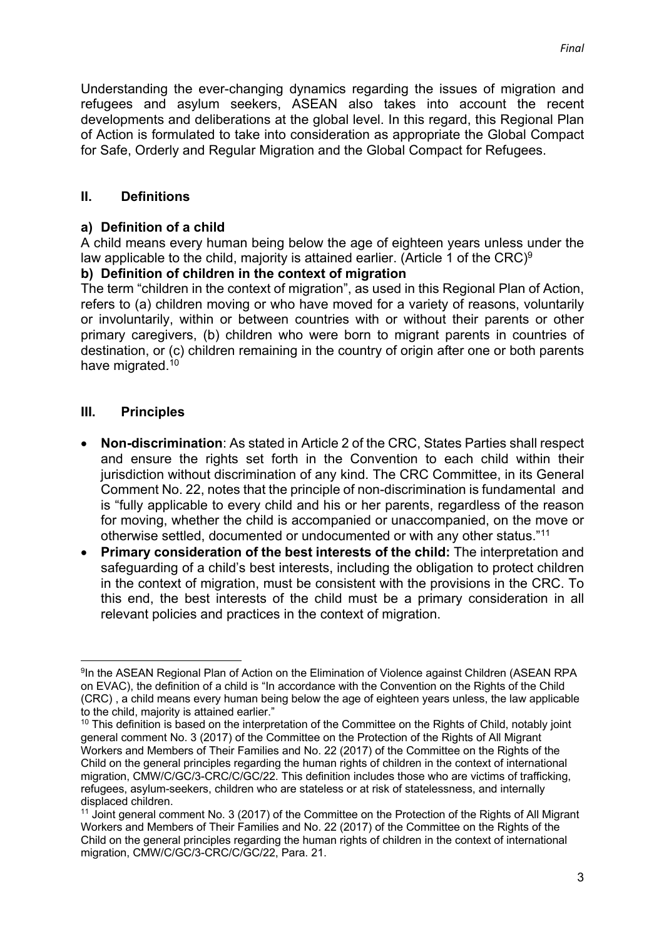Understanding the ever-changing dynamics regarding the issues of migration and refugees and asylum seekers, ASEAN also takes into account the recent developments and deliberations at the global level. In this regard, this Regional Plan of Action is formulated to take into consideration as appropriate the Global Compact for Safe, Orderly and Regular Migration and the Global Compact for Refugees.

## **II. Definitions**

### **a) Definition of a child**

A child means every human being below the age of eighteen years unless under the law applicable to the child, majority is attained earlier. (Article 1 of the CRC)<sup>9</sup>

## **b) Definition of children in the context of migration**

The term "children in the context of migration", as used in this Regional Plan of Action, refers to (a) children moving or who have moved for a variety of reasons, voluntarily or involuntarily, within or between countries with or without their parents or other primary caregivers, (b) children who were born to migrant parents in countries of destination, or (c) children remaining in the country of origin after one or both parents have migrated.<sup>10</sup>

## **III. Principles**

- **Non-discrimination**: As stated in Article 2 of the CRC, States Parties shall respect and ensure the rights set forth in the Convention to each child within their jurisdiction without discrimination of any kind. The CRC Committee, in its General Comment No. 22, notes that the principle of non-discrimination is fundamental and is "fully applicable to every child and his or her parents, regardless of the reason for moving, whether the child is accompanied or unaccompanied, on the move or otherwise settled, documented or undocumented or with any other status."11
- **Primary consideration of the best interests of the child:** The interpretation and safeguarding of a child's best interests, including the obligation to protect children in the context of migration, must be consistent with the provisions in the CRC. To this end, the best interests of the child must be a primary consideration in all relevant policies and practices in the context of migration.

<sup>9</sup>In the ASEAN Regional Plan of Action on the Elimination of Violence against Children (ASEAN RPA on EVAC), the definition of a child is "In accordance with the Convention on the Rights of the Child (CRC) , a child means every human being below the age of eighteen years unless, the law applicable to the child, majority is attained earlier."

 $10$  This definition is based on the interpretation of the Committee on the Rights of Child, notably joint general comment No. 3 (2017) of the Committee on the Protection of the Rights of All Migrant Workers and Members of Their Families and No. 22 (2017) of the Committee on the Rights of the Child on the general principles regarding the human rights of children in the context of international migration, CMW/C/GC/3-CRC/C/GC/22. This definition includes those who are victims of trafficking, refugees, asylum-seekers, children who are stateless or at risk of statelessness, and internally displaced children.

<sup>11</sup> Joint general comment No. 3 (2017) of the Committee on the Protection of the Rights of All Migrant Workers and Members of Their Families and No. 22 (2017) of the Committee on the Rights of the Child on the general principles regarding the human rights of children in the context of international migration, CMW/C/GC/3-CRC/C/GC/22, Para. 21.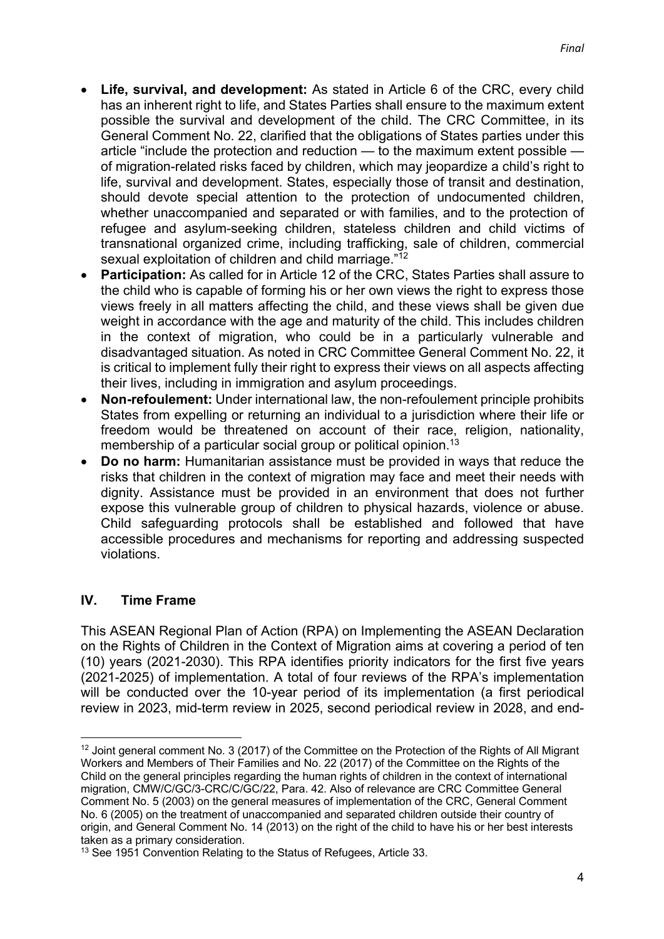- **Life, survival, and development:** As stated in Article 6 of the CRC, every child has an inherent right to life, and States Parties shall ensure to the maximum extent possible the survival and development of the child. The CRC Committee, in its General Comment No. 22, clarified that the obligations of States parties under this article "include the protection and reduction — to the maximum extent possible of migration-related risks faced by children, which may jeopardize a child's right to life, survival and development. States, especially those of transit and destination, should devote special attention to the protection of undocumented children, whether unaccompanied and separated or with families, and to the protection of refugee and asylum-seeking children, stateless children and child victims of transnational organized crime, including trafficking, sale of children, commercial sexual exploitation of children and child marriage."<sup>12</sup>
- **Participation:** As called for in Article 12 of the CRC, States Parties shall assure to the child who is capable of forming his or her own views the right to express those views freely in all matters affecting the child, and these views shall be given due weight in accordance with the age and maturity of the child. This includes children in the context of migration, who could be in a particularly vulnerable and disadvantaged situation. As noted in CRC Committee General Comment No. 22, it is critical to implement fully their right to express their views on all aspects affecting their lives, including in immigration and asylum proceedings.
- **Non-refoulement:** Under international law, the non-refoulement principle prohibits States from expelling or returning an individual to a jurisdiction where their life or freedom would be threatened on account of their race, religion, nationality, membership of a particular social group or political opinion.<sup>13</sup>
- **Do no harm:** Humanitarian assistance must be provided in ways that reduce the risks that children in the context of migration may face and meet their needs with dignity. Assistance must be provided in an environment that does not further expose this vulnerable group of children to physical hazards, violence or abuse. Child safeguarding protocols shall be established and followed that have accessible procedures and mechanisms for reporting and addressing suspected violations.

## **IV. Time Frame**

This ASEAN Regional Plan of Action (RPA) on Implementing the ASEAN Declaration on the Rights of Children in the Context of Migration aims at covering a period of ten (10) years (2021-2030). This RPA identifies priority indicators for the first five years (2021-2025) of implementation. A total of four reviews of the RPA's implementation will be conducted over the 10-year period of its implementation (a first periodical review in 2023, mid-term review in 2025, second periodical review in 2028, and end-

<sup>&</sup>lt;sup>12</sup> Joint general comment No. 3 (2017) of the Committee on the Protection of the Rights of All Migrant Workers and Members of Their Families and No. 22 (2017) of the Committee on the Rights of the Child on the general principles regarding the human rights of children in the context of international migration, CMW/C/GC/3-CRC/C/GC/22, Para. 42. Also of relevance are CRC Committee General Comment No. 5 (2003) on the general measures of implementation of the CRC, General Comment No. 6 (2005) on the treatment of unaccompanied and separated children outside their country of origin, and General Comment No. 14 (2013) on the right of the child to have his or her best interests taken as a primary consideration.

<sup>&</sup>lt;sup>13</sup> See 1951 Convention Relating to the Status of Refugees, Article 33.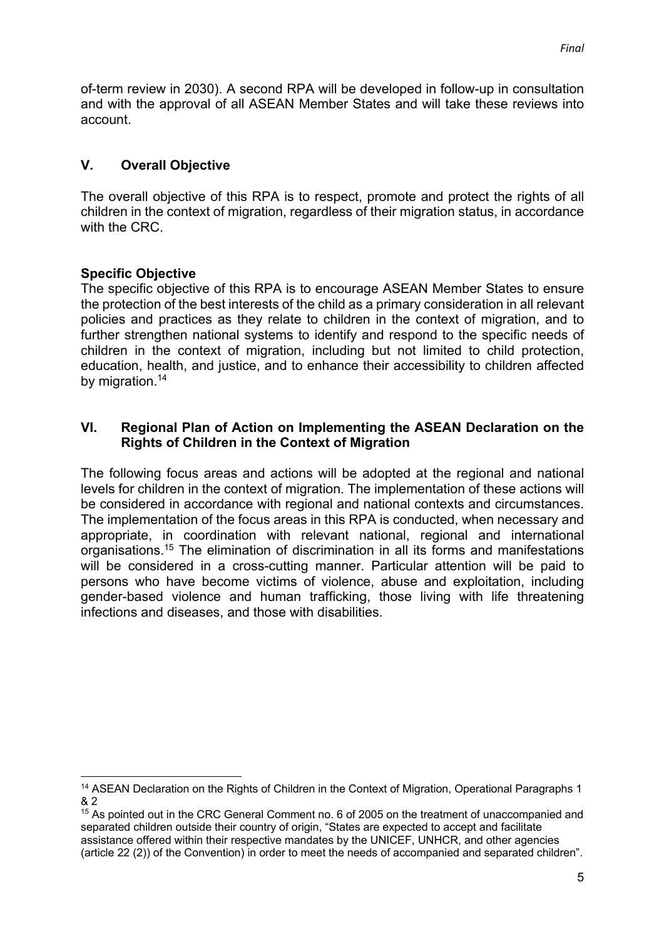of-term review in 2030). A second RPA will be developed in follow-up in consultation and with the approval of all ASEAN Member States and will take these reviews into account.

## **V. Overall Objective**

The overall objective of this RPA is to respect, promote and protect the rights of all children in the context of migration, regardless of their migration status, in accordance with the CRC.

## **Specific Objective**

The specific objective of this RPA is to encourage ASEAN Member States to ensure the protection of the best interests of the child as a primary consideration in all relevant policies and practices as they relate to children in the context of migration, and to further strengthen national systems to identify and respond to the specific needs of children in the context of migration, including but not limited to child protection, education, health, and justice, and to enhance their accessibility to children affected by migration.<sup>14</sup>

### **VI. Regional Plan of Action on Implementing the ASEAN Declaration on the Rights of Children in the Context of Migration**

The following focus areas and actions will be adopted at the regional and national levels for children in the context of migration. The implementation of these actions will be considered in accordance with regional and national contexts and circumstances. The implementation of the focus areas in this RPA is conducted, when necessary and appropriate, in coordination with relevant national, regional and international organisations.15 The elimination of discrimination in all its forms and manifestations will be considered in a cross-cutting manner. Particular attention will be paid to persons who have become victims of violence, abuse and exploitation, including gender-based violence and human trafficking, those living with life threatening infections and diseases, and those with disabilities.

<sup>&</sup>lt;sup>14</sup> ASEAN Declaration on the Rights of Children in the Context of Migration, Operational Paragraphs 1 & 2

<sup>&</sup>lt;sup>15</sup> As pointed out in the CRC General Comment no. 6 of 2005 on the treatment of unaccompanied and separated children outside their country of origin, "States are expected to accept and facilitate assistance offered within their respective mandates by the UNICEF, UNHCR, and other agencies (article 22 (2)) of the Convention) in order to meet the needs of accompanied and separated children".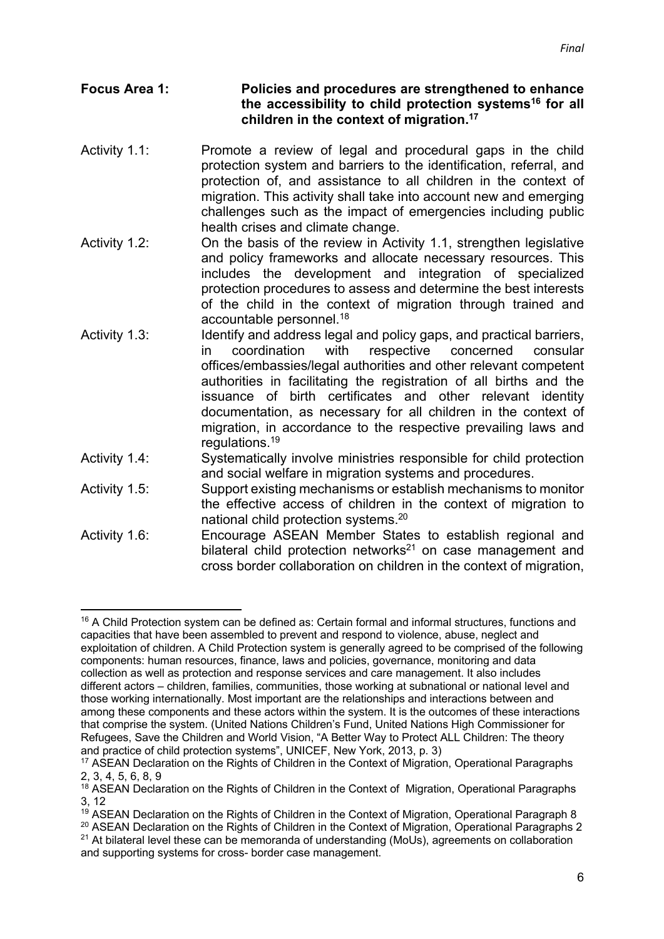### **Focus Area 1: Policies and procedures are strengthened to enhance the accessibility to child protection systems16 for all children in the context of migration. 17**

- Activity 1.1: Promote a review of legal and procedural gaps in the child protection system and barriers to the identification, referral, and protection of, and assistance to all children in the context of migration. This activity shall take into account new and emerging challenges such as the impact of emergencies including public health crises and climate change.
- Activity 1.2: On the basis of the review in Activity 1.1, strengthen legislative and policy frameworks and allocate necessary resources. This includes the development and integration of specialized protection procedures to assess and determine the best interests of the child in the context of migration through trained and accountable personnel. 18
- Activity 1.3: Identify and address legal and policy gaps, and practical barriers, in coordination with respective concerned consular offices/embassies/legal authorities and other relevant competent authorities in facilitating the registration of all births and the issuance of birth certificates and other relevant identity documentation, as necessary for all children in the context of migration, in accordance to the respective prevailing laws and regulations. 19
- Activity 1.4: Systematically involve ministries responsible for child protection and social welfare in migration systems and procedures.
- Activity 1.5: Support existing mechanisms or establish mechanisms to monitor the effective access of children in the context of migration to national child protection systems. 20
- Activity 1.6: Encourage ASEAN Member States to establish regional and bilateral child protection networks<sup>21</sup> on case management and cross border collaboration on children in the context of migration,

<sup>&</sup>lt;sup>16</sup> A Child Protection system can be defined as: Certain formal and informal structures, functions and capacities that have been assembled to prevent and respond to violence, abuse, neglect and exploitation of children. A Child Protection system is generally agreed to be comprised of the following components: human resources, finance, laws and policies, governance, monitoring and data collection as well as protection and response services and care management. It also includes different actors – children, families, communities, those working at subnational or national level and those working internationally. Most important are the relationships and interactions between and among these components and these actors within the system. It is the outcomes of these interactions that comprise the system. (United Nations Children's Fund, United Nations High Commissioner for Refugees, Save the Children and World Vision, "A Better Way to Protect ALL Children: The theory and practice of child protection systems", UNICEF, New York, 2013, p. 3)

<sup>&</sup>lt;sup>17</sup> ASEAN Declaration on the Rights of Children in the Context of Migration, Operational Paragraphs 2, 3, 4, 5, 6, 8, 9

<sup>&</sup>lt;sup>18</sup> ASEAN Declaration on the Rights of Children in the Context of Migration, Operational Paragraphs 3, 12

<sup>&</sup>lt;sup>19</sup> ASEAN Declaration on the Rights of Children in the Context of Migration, Operational Paragraph 8

<sup>&</sup>lt;sup>20</sup> ASEAN Declaration on the Rights of Children in the Context of Migration, Operational Paragraphs 2  $21$  At bilateral level these can be memoranda of understanding (MoUs), agreements on collaboration and supporting systems for cross- border case management.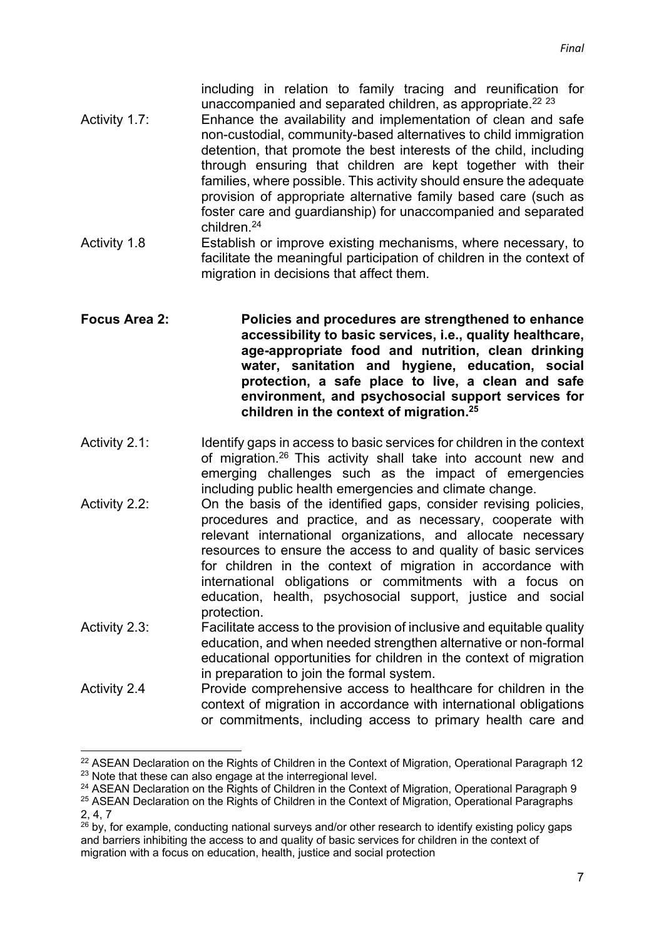including in relation to family tracing and reunification for unaccompanied and separated children, as appropriate. $^{22}$   $^{23}$ 

- Activity 1.7: Enhance the availability and implementation of clean and safe non-custodial, community-based alternatives to child immigration detention, that promote the best interests of the child, including through ensuring that children are kept together with their families, where possible. This activity should ensure the adequate provision of appropriate alternative family based care (such as foster care and guardianship) for unaccompanied and separated children. 24
- Activity 1.8 Establish or improve existing mechanisms, where necessary, to facilitate the meaningful participation of children in the context of migration in decisions that affect them.

### **Focus Area 2: Policies and procedures are strengthened to enhance accessibility to basic services, i.e., quality healthcare, age-appropriate food and nutrition, clean drinking water, sanitation and hygiene, education, social protection, a safe place to live, a clean and safe environment, and psychosocial support services for children in the context of migration. 25**

- Activity 2.1: Identify gaps in access to basic services for children in the context of migration.<sup>26</sup> This activity shall take into account new and emerging challenges such as the impact of emergencies including public health emergencies and climate change.
- Activity 2.2: On the basis of the identified gaps, consider revising policies, procedures and practice, and as necessary, cooperate with relevant international organizations, and allocate necessary resources to ensure the access to and quality of basic services for children in the context of migration in accordance with international obligations or commitments with a focus on education, health, psychosocial support, justice and social protection.
- Activity 2.3: Facilitate access to the provision of inclusive and equitable quality education, and when needed strengthen alternative or non-formal educational opportunities for children in the context of migration in preparation to join the formal system.
- Activity 2.4 Provide comprehensive access to healthcare for children in the context of migration in accordance with international obligations or commitments, including access to primary health care and

 $22$  ASEAN Declaration on the Rights of Children in the Context of Migration, Operational Paragraph 12<br> $23$  Note that these can also engage at the interregional level.

<sup>&</sup>lt;sup>24</sup> ASEAN Declaration on the Rights of Children in the Context of Migration. Operational Paragraph 9

<sup>&</sup>lt;sup>25</sup> ASEAN Declaration on the Rights of Children in the Context of Migration, Operational Paragraphs 2, 4, 7

 $^{26}$  by, for example, conducting national surveys and/or other research to identify existing policy gaps and barriers inhibiting the access to and quality of basic services for children in the context of migration with a focus on education, health, justice and social protection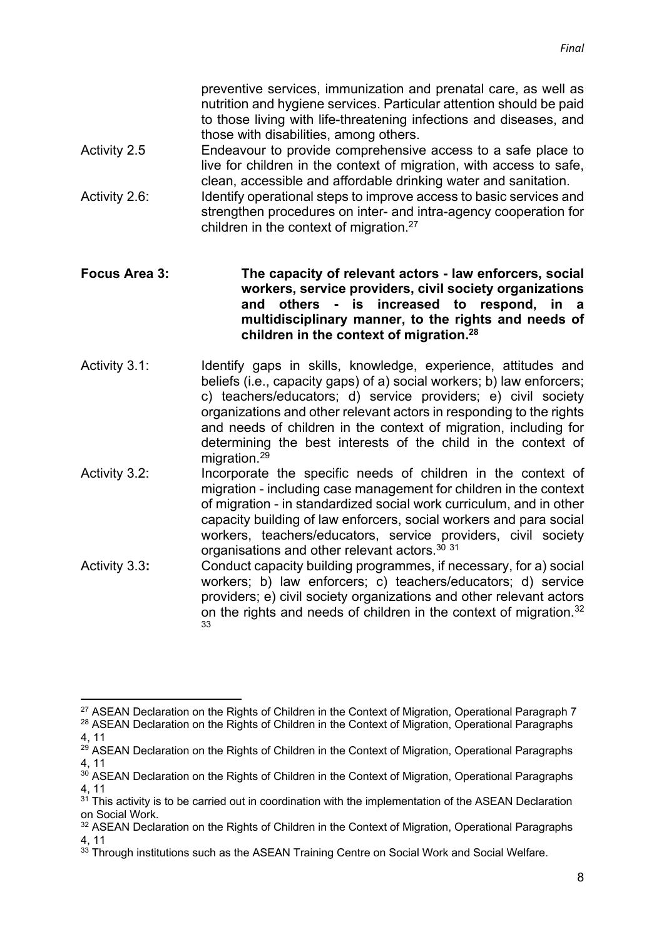preventive services, immunization and prenatal care, as well as nutrition and hygiene services. Particular attention should be paid to those living with life-threatening infections and diseases, and those with disabilities, among others.

- Activity 2.5 Endeavour to provide comprehensive access to a safe place to live for children in the context of migration, with access to safe, clean, accessible and affordable drinking water and sanitation.
- Activity 2.6: Identify operational steps to improve access to basic services and strengthen procedures on inter- and intra-agency cooperation for children in the context of migration.27

### **Focus Area 3: The capacity of relevant actors - law enforcers, social workers, service providers, civil society organizations and others - is increased to respond, in a multidisciplinary manner, to the rights and needs of children in the context of migration. 28**

- Activity 3.1: Identify gaps in skills, knowledge, experience, attitudes and beliefs (i.e., capacity gaps) of a) social workers; b) law enforcers; c) teachers/educators; d) service providers; e) civil society organizations and other relevant actors in responding to the rights and needs of children in the context of migration, including for determining the best interests of the child in the context of migration. 29
- Activity 3.2: Incorporate the specific needs of children in the context of migration - including case management for children in the context of migration - in standardized social work curriculum, and in other capacity building of law enforcers, social workers and para social workers, teachers/educators, service providers, civil society organisations and other relevant actors. 30 31
- Activity 3.3**:** Conduct capacity building programmes, if necessary, for a) social workers; b) law enforcers; c) teachers/educators; d) service providers; e) civil society organizations and other relevant actors on the rights and needs of children in the context of migration.<sup>32</sup> 33

<sup>&</sup>lt;sup>27</sup> ASEAN Declaration on the Rights of Children in the Context of Migration, Operational Paragraph 7 <sup>28</sup> ASEAN Declaration on the Rights of Children in the Context of Migration, Operational Paragraphs

<sup>4, 11</sup>

<sup>&</sup>lt;sup>29</sup> ASEAN Declaration on the Rights of Children in the Context of Migration, Operational Paragraphs 4, 11

<sup>&</sup>lt;sup>30</sup> ASEAN Declaration on the Rights of Children in the Context of Migration, Operational Paragraphs 4, 11

 $31$ <sup>31</sup> This activity is to be carried out in coordination with the implementation of the ASEAN Declaration on Social Work.

<sup>&</sup>lt;sup>32</sup> ASEAN Declaration on the Rights of Children in the Context of Migration, Operational Paragraphs 4, 11

<sup>&</sup>lt;sup>33</sup> Through institutions such as the ASEAN Training Centre on Social Work and Social Welfare.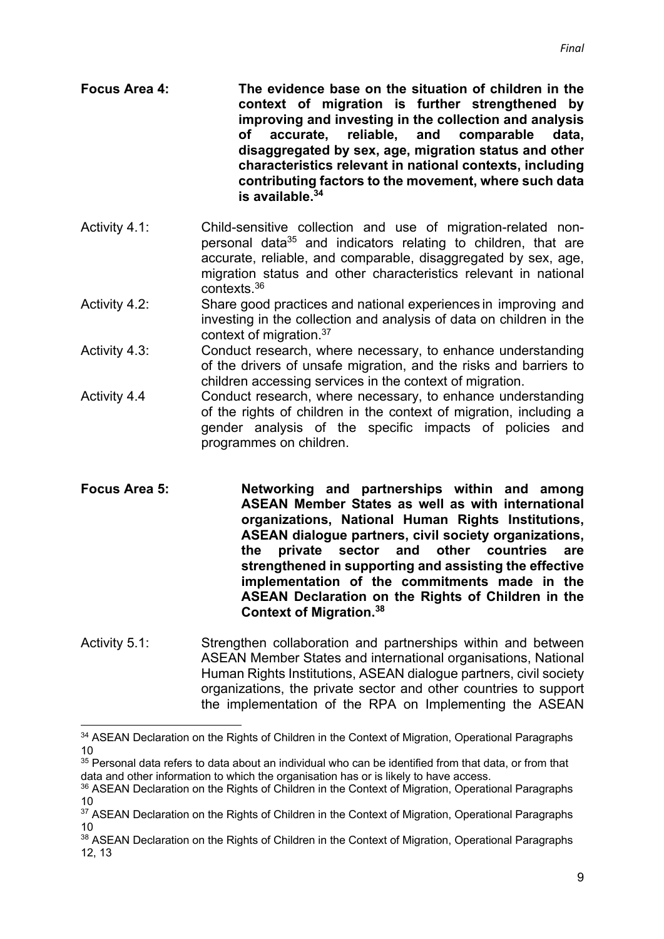**Focus Area 4: The evidence base on the situation of children in the context of migration is further strengthened by improving and investing in the collection and analysis of accurate, reliable, and comparable data, disaggregated by sex, age, migration status and other characteristics relevant in national contexts, including contributing factors to the movement, where such data is available. 34**

- Activity 4.1: Child-sensitive collection and use of migration-related nonpersonal data<sup>35</sup> and indicators relating to children, that are accurate, reliable, and comparable, disaggregated by sex, age, migration status and other characteristics relevant in national contexts. 36
- Activity 4.2: Share good practices and national experiences in improving and investing in the collection and analysis of data on children in the context of migration.<sup>37</sup>
- Activity 4.3: Conduct research, where necessary, to enhance understanding of the drivers of unsafe migration, and the risks and barriers to children accessing services in the context of migration.
- Activity 4.4 Conduct research, where necessary, to enhance understanding of the rights of children in the context of migration, including a gender analysis of the specific impacts of policies and programmes on children.
- **Focus Area 5: Networking and partnerships within and among ASEAN Member States as well as with international organizations, National Human Rights Institutions, ASEAN dialogue partners, civil society organizations, the private sector and other countries are strengthened in supporting and assisting the effective implementation of the commitments made in the ASEAN Declaration on the Rights of Children in the Context of Migration. 38**
- Activity 5.1: Strengthen collaboration and partnerships within and between ASEAN Member States and international organisations, National Human Rights Institutions, ASEAN dialogue partners, civil society organizations, the private sector and other countries to support the implementation of the RPA on Implementing the ASEAN

<sup>&</sup>lt;sup>34</sup> ASEAN Declaration on the Rights of Children in the Context of Migration, Operational Paragraphs 10

<sup>&</sup>lt;sup>35</sup> Personal data refers to data about an individual who can be identified from that data, or from that data and other information to which the organisation has or is likely to have access.

<sup>&</sup>lt;sup>36</sup> ASEAN Declaration on the Rights of Children in the Context of Migration, Operational Paragraphs 10

<sup>&</sup>lt;sup>37</sup> ASEAN Declaration on the Rights of Children in the Context of Migration, Operational Paragraphs 10

<sup>&</sup>lt;sup>38</sup> ASEAN Declaration on the Rights of Children in the Context of Migration, Operational Paragraphs 12, 13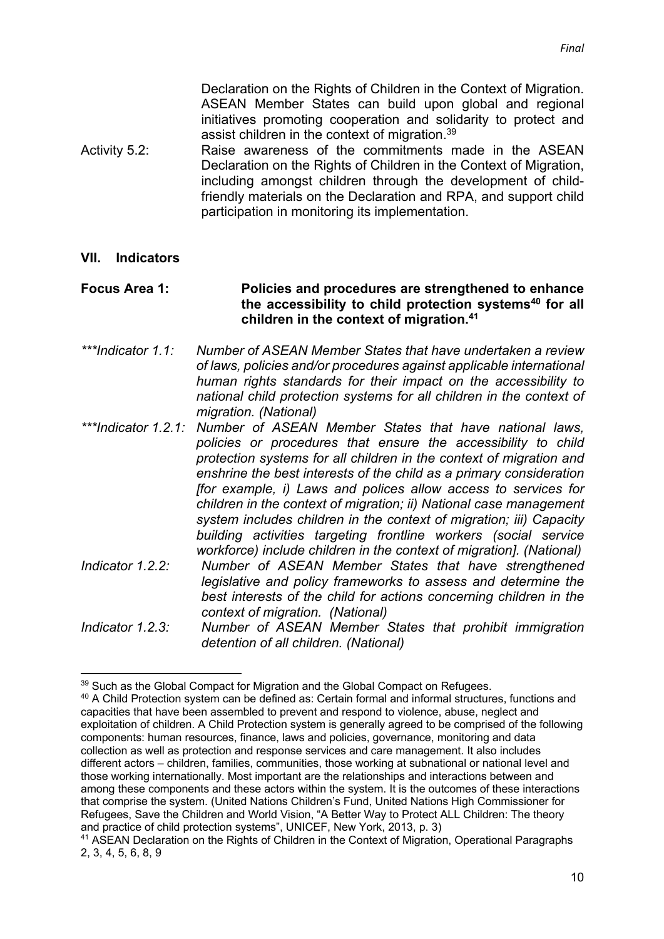Declaration on the Rights of Children in the Context of Migration. ASEAN Member States can build upon global and regional initiatives promoting cooperation and solidarity to protect and assist children in the context of migration.<sup>39</sup>

Activity 5.2: Raise awareness of the commitments made in the ASEAN Declaration on the Rights of Children in the Context of Migration, including amongst children through the development of childfriendly materials on the Declaration and RPA, and support child participation in monitoring its implementation.

#### **VII. Indicators**

#### **Focus Area 1: Policies and procedures are strengthened to enhance the accessibility to child protection systems40 for all children in the context of migration.41**

- *\*\*\*Indicator 1.1: Number of ASEAN Member States that have undertaken a review of laws, policies and/or procedures against applicable international human rights standards for their impact on the accessibility to national child protection systems for all children in the context of migration. (National)*
- *\*\*\*Indicator 1.2.1: Number of ASEAN Member States that have national laws, policies or procedures that ensure the accessibility to child protection systems for all children in the context of migration and enshrine the best interests of the child as a primary consideration [for example, i) Laws and polices allow access to services for children in the context of migration; ii) National case management system includes children in the context of migration; iii) Capacity building activities targeting frontline workers (social service workforce) include children in the context of migration]. (National)*
- *Indicator 1.2.2: Number of ASEAN Member States that have strengthened legislative and policy frameworks to assess and determine the best interests of the child for actions concerning children in the context of migration. (National)*
- *Indicator 1.2.3: Number of ASEAN Member States that prohibit immigration detention of all children. (National)*

<sup>&</sup>lt;sup>39</sup> Such as the Global Compact for Migration and the Global Compact on Refugees.

<sup>40</sup> A Child Protection system can be defined as: Certain formal and informal structures, functions and capacities that have been assembled to prevent and respond to violence, abuse, neglect and exploitation of children. A Child Protection system is generally agreed to be comprised of the following components: human resources, finance, laws and policies, governance, monitoring and data collection as well as protection and response services and care management. It also includes different actors – children, families, communities, those working at subnational or national level and those working internationally. Most important are the relationships and interactions between and among these components and these actors within the system. It is the outcomes of these interactions that comprise the system. (United Nations Children's Fund, United Nations High Commissioner for Refugees, Save the Children and World Vision, "A Better Way to Protect ALL Children: The theory and practice of child protection systems", UNICEF, New York, 2013, p. 3)

<sup>&</sup>lt;sup>41</sup> ASEAN Declaration on the Rights of Children in the Context of Migration, Operational Paragraphs 2, 3, 4, 5, 6, 8, 9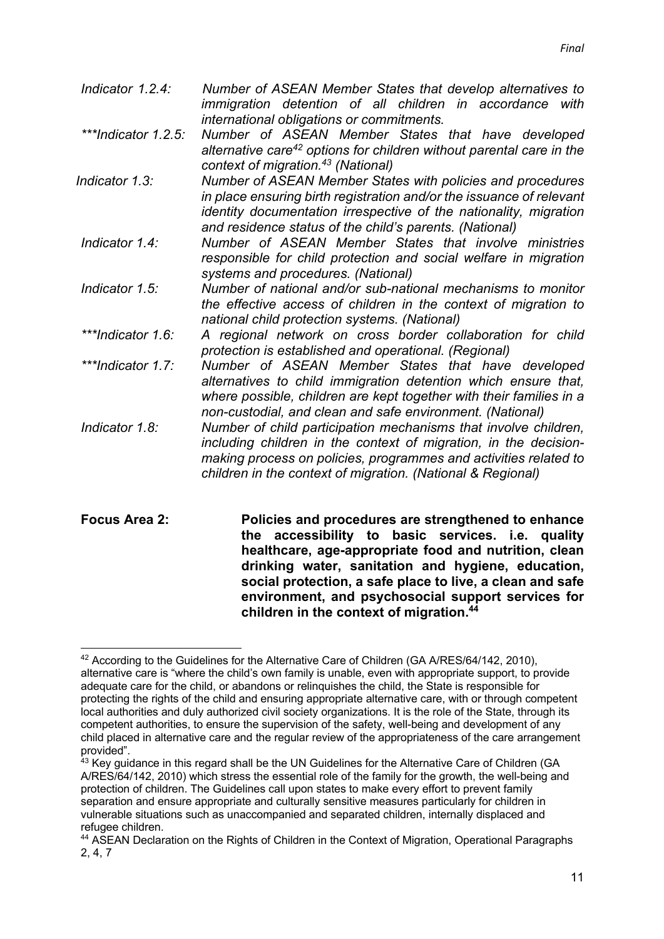| Indicator 1.2.4:     | Number of ASEAN Member States that develop alternatives to<br>immigration detention of all children in accordance with                                                                                                                                                 |
|----------------------|------------------------------------------------------------------------------------------------------------------------------------------------------------------------------------------------------------------------------------------------------------------------|
| ***Indicator 1.2.5:  | international obligations or commitments.<br>Number of ASEAN Member States that have developed<br>alternative care <sup>42</sup> options for children without parental care in the<br>context of migration. <sup>43</sup> (National)                                   |
| Indicator 1.3:       | Number of ASEAN Member States with policies and procedures<br>in place ensuring birth registration and/or the issuance of relevant<br>identity documentation irrespective of the nationality, migration<br>and residence status of the child's parents. (National)     |
| Indicator 1.4:       | Number of ASEAN Member States that involve ministries<br>responsible for child protection and social welfare in migration<br>systems and procedures. (National)                                                                                                        |
| Indicator 1.5:       | Number of national and/or sub-national mechanisms to monitor<br>the effective access of children in the context of migration to<br>national child protection systems. (National)                                                                                       |
| ***Indicator 1.6:    | A regional network on cross border collaboration for child<br>protection is established and operational. (Regional)                                                                                                                                                    |
| ***Indicator 1.7:    | Number of ASEAN Member States that have developed<br>alternatives to child immigration detention which ensure that,<br>where possible, children are kept together with their families in a<br>non-custodial, and clean and safe environment. (National)                |
| Indicator 1.8:       | Number of child participation mechanisms that involve children,<br>including children in the context of migration, in the decision-<br>making process on policies, programmes and activities related to<br>children in the context of migration. (National & Regional) |
| <b>Focus Area 2:</b> | Policies and procedures are strengthened to enhance<br>accessibility to basic services. i.e. quality<br>the<br>healthcare, age-appropriate food and nutrition, clean<br>drinking water, sanitation and hygiene, education,                                             |

**children in the context of migration.44**

**social protection, a safe place to live, a clean and safe environment, and psychosocial support services for** 

<sup>42</sup> According to the Guidelines for the Alternative Care of Children (GA A/RES/64/142, 2010). alternative care is "where the child's own family is unable, even with appropriate support, to provide adequate care for the child, or abandons or relinquishes the child, the State is responsible for protecting the rights of the child and ensuring appropriate alternative care, with or through competent local authorities and duly authorized civil society organizations. It is the role of the State, through its competent authorities, to ensure the supervision of the safety, well-being and development of any child placed in alternative care and the regular review of the appropriateness of the care arrangement provided".

<sup>&</sup>lt;sup>43</sup> Kev quidance in this regard shall be the UN Guidelines for the Alternative Care of Children (GA A/RES/64/142, 2010) which stress the essential role of the family for the growth, the well-being and protection of children. The Guidelines call upon states to make every effort to prevent family separation and ensure appropriate and culturally sensitive measures particularly for children in vulnerable situations such as unaccompanied and separated children, internally displaced and refugee children.

<sup>&</sup>lt;sup>44</sup> ASEAN Declaration on the Rights of Children in the Context of Migration, Operational Paragraphs 2, 4, 7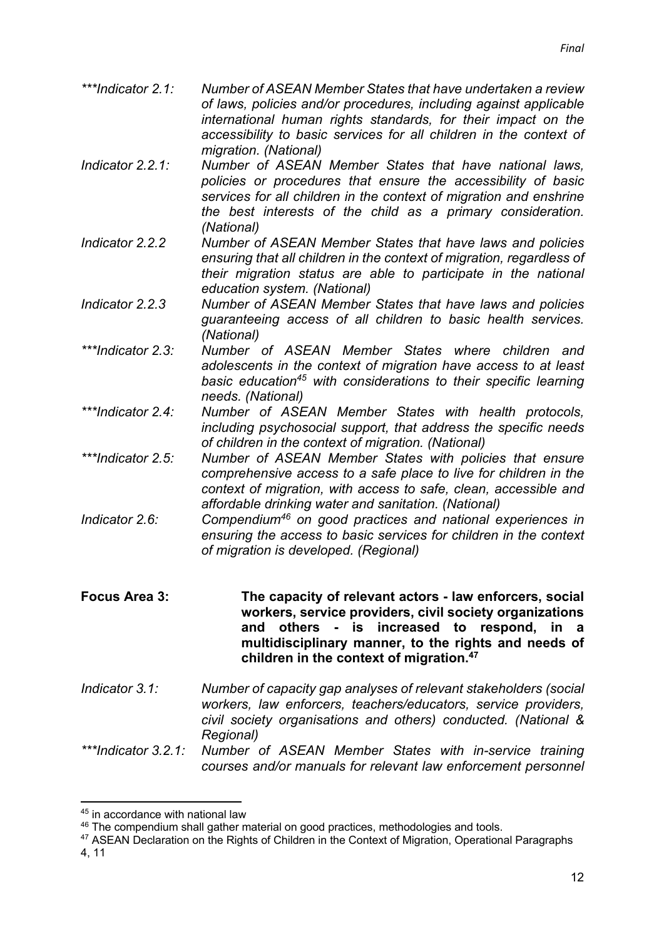- *\*\*\*Indicator 2.1: Number of ASEAN Member States that have undertaken a review of laws, policies and/or procedures, including against applicable international human rights standards, for their impact on the accessibility to basic services for all children in the context of migration. (National)*
- *Indicator 2.2.1: Number of ASEAN Member States that have national laws, policies or procedures that ensure the accessibility of basic services for all children in the context of migration and enshrine the best interests of the child as a primary consideration. (National)*
- *Indicator 2.2.2 Number of ASEAN Member States that have laws and policies ensuring that all children in the context of migration, regardless of their migration status are able to participate in the national education system. (National)*
- *Indicator 2.2.3 Number of ASEAN Member States that have laws and policies guaranteeing access of all children to basic health services. (National)*
- *\*\*\*Indicator 2.3: Number of ASEAN Member States where children and adolescents in the context of migration have access to at least basic education45 with considerations to their specific learning needs. (National)*
- *\*\*\*Indicator 2.4: Number of ASEAN Member States with health protocols, including psychosocial support, that address the specific needs of children in the context of migration. (National)*
- *\*\*\*Indicator 2.5: Number of ASEAN Member States with policies that ensure comprehensive access to a safe place to live for children in the context of migration, with access to safe, clean, accessible and affordable drinking water and sanitation. (National)*
- *Indicator 2.6: Compendium46 on good practices and national experiences in ensuring the access to basic services for children in the context of migration is developed. (Regional)*
- **Focus Area 3: The capacity of relevant actors - law enforcers, social workers, service providers, civil society organizations and others - is increased to respond, in a multidisciplinary manner, to the rights and needs of children in the context of migration.47**
- *Indicator 3.1: Number of capacity gap analyses of relevant stakeholders (social workers, law enforcers, teachers/educators, service providers, civil society organisations and others) conducted. (National & Regional)*
- *\*\*\*Indicator 3.2.1: Number of ASEAN Member States with in-service training courses and/or manuals for relevant law enforcement personnel*

4, 11

<sup>45</sup> in accordance with national law

<sup>&</sup>lt;sup>46</sup> The compendium shall gather material on good practices, methodologies and tools.

<sup>&</sup>lt;sup>47</sup> ASEAN Declaration on the Rights of Children in the Context of Migration, Operational Paragraphs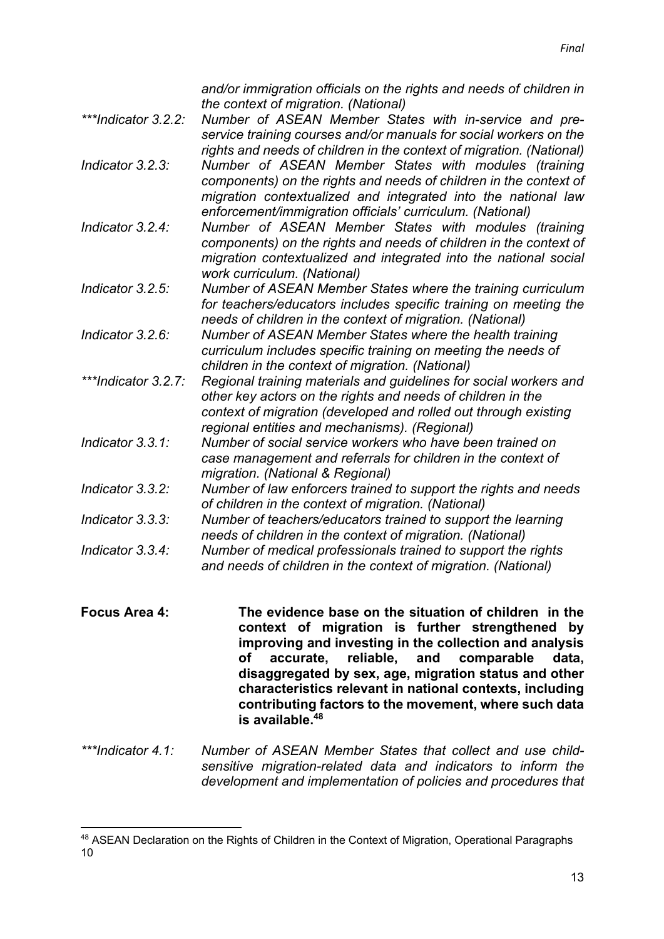*and/or immigration officials on the rights and needs of children in the context of migration. (National)*

- *\*\*\*Indicator 3.2.2: Number of ASEAN Member States with in-service and preservice training courses and/or manuals for social workers on the rights and needs of children in the context of migration. (National) Indicator 3.2.3: Number of ASEAN Member States with modules (training components) on the rights and needs of children in the context of migration contextualized and integrated into the national law enforcement/immigration officials' curriculum. (National)*
- *Indicator 3.2.4: Number of ASEAN Member States with modules (training components) on the rights and needs of children in the context of migration contextualized and integrated into the national social work curriculum. (National)*
- *Indicator 3.2.5: Number of ASEAN Member States where the training curriculum for teachers/educators includes specific training on meeting the needs of children in the context of migration. (National)*
- *Indicator 3.2.6: Number of ASEAN Member States where the health training curriculum includes specific training on meeting the needs of children in the context of migration. (National)*
- *\*\*\*Indicator 3.2.7: Regional training materials and guidelines for social workers and other key actors on the rights and needs of children in the context of migration (developed and rolled out through existing regional entities and mechanisms). (Regional)*
- *Indicator 3.3.1: Number of social service workers who have been trained on case management and referrals for children in the context of migration. (National & Regional)*
- *Indicator 3.3.2: Number of law enforcers trained to support the rights and needs of children in the context of migration. (National)*
- *Indicator 3.3.3: Number of teachers/educators trained to support the learning needs of children in the context of migration. (National)*
- *Indicator 3.3.4: Number of medical professionals trained to support the rights and needs of children in the context of migration. (National)*
- **Focus Area 4: The evidence base on the situation of children in the context of migration is further strengthened by improving and investing in the collection and analysis of accurate, reliable, and comparable data, disaggregated by sex, age, migration status and other characteristics relevant in national contexts, including contributing factors to the movement, where such data is available.48**
- *\*\*\*Indicator 4.1: Number of ASEAN Member States that collect and use childsensitive migration-related data and indicators to inform the development and implementation of policies and procedures that*

<sup>48</sup> ASEAN Declaration on the Rights of Children in the Context of Migration, Operational Paragraphs 10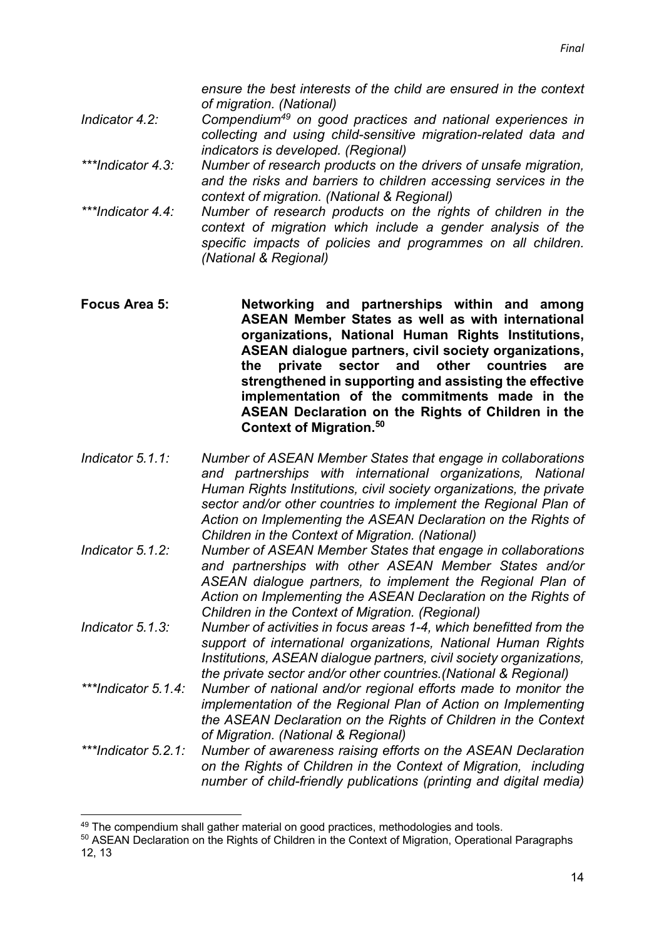*ensure the best interests of the child are ensured in the context of migration. (National)* 

- *Indicator 4.2: Compendium49 on good practices and national experiences in collecting and using child-sensitive migration-related data and indicators is developed. (Regional)*
- *\*\*\*Indicator 4.3: Number of research products on the drivers of unsafe migration, and the risks and barriers to children accessing services in the context of migration. (National & Regional)*
- *\*\*\*Indicator 4.4: Number of research products on the rights of children in the context of migration which include a gender analysis of the specific impacts of policies and programmes on all children. (National & Regional)*
- **Focus Area 5: Networking and partnerships within and among ASEAN Member States as well as with international organizations, National Human Rights Institutions, ASEAN dialogue partners, civil society organizations, the private sector and other countries are strengthened in supporting and assisting the effective implementation of the commitments made in the ASEAN Declaration on the Rights of Children in the Context of Migration.50**
- *Indicator 5.1.1: Number of ASEAN Member States that engage in collaborations and partnerships with international organizations, National Human Rights Institutions, civil society organizations, the private sector and/or other countries to implement the Regional Plan of Action on Implementing the ASEAN Declaration on the Rights of Children in the Context of Migration. (National)*
- *Indicator 5.1.2: Number of ASEAN Member States that engage in collaborations and partnerships with other ASEAN Member States and/or ASEAN dialogue partners, to implement the Regional Plan of Action on Implementing the ASEAN Declaration on the Rights of Children in the Context of Migration. (Regional)*
- *Indicator 5.1.3: Number of activities in focus areas 1-4, which benefitted from the support of international organizations, National Human Rights Institutions, ASEAN dialogue partners, civil society organizations, the private sector and/or other countries.(National & Regional)*
- *\*\*\*Indicator 5.1.4: Number of national and/or regional efforts made to monitor the implementation of the Regional Plan of Action on Implementing the ASEAN Declaration on the Rights of Children in the Context of Migration. (National & Regional)*

*\*\*\*Indicator 5.2.1: Number of awareness raising efforts on the ASEAN Declaration on the Rights of Children in the Context of Migration, including number of child-friendly publications (printing and digital media)* 

<sup>&</sup>lt;sup>49</sup> The compendium shall gather material on good practices, methodologies and tools.

<sup>&</sup>lt;sup>50</sup> ASEAN Declaration on the Rights of Children in the Context of Migration, Operational Paragraphs 12, 13